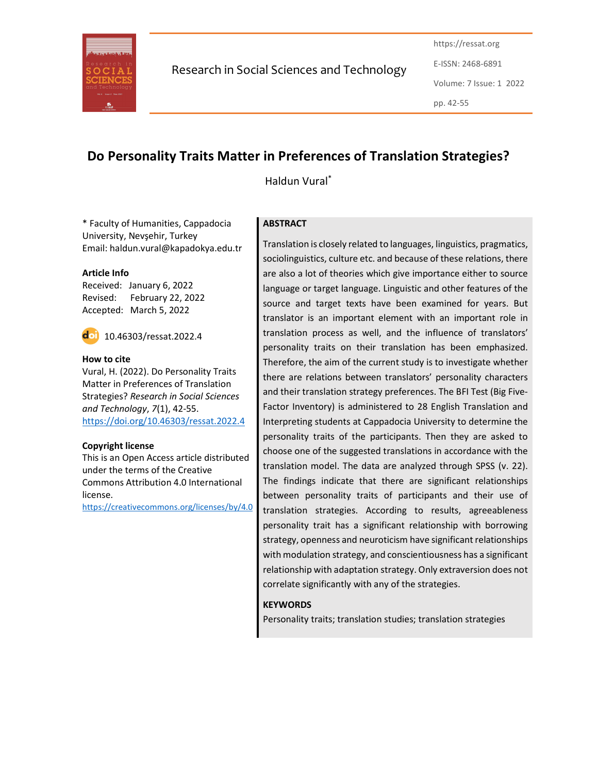

Research in Social Sciences and Technology

https://ressat.org E-ISSN: 2468-6891 Volume: 7 Issue: 1 2022 pp. 42-55

# Do Personality Traits Matter in Preferences of Translation Strategies?

Haldun Vural\*

\* Faculty of Humanities, Cappadocia University, Nevşehir, Turkey Email: haldun.vural@kapadokya.edu.tr

#### Article Info

Received: January 6, 2022 Revised: February 22, 2022 Accepted: March 5, 2022



10.46303/ressat.2022.4

#### How to cite

Vural, H. (2022). Do Personality Traits Matter in Preferences of Translation Strategies? Research in Social Sciences and Technology, 7(1), 42-55. https://doi.org/10.46303/ressat.2022.4

#### Copyright license

This is an Open Access article distributed under the terms of the Creative Commons Attribution 4.0 International license.

https://creativecommons.org/licenses/by/4.0

# **ABSTRACT**

Translation is closely related to languages, linguistics, pragmatics, sociolinguistics, culture etc. and because of these relations, there are also a lot of theories which give importance either to source language or target language. Linguistic and other features of the source and target texts have been examined for years. But translator is an important element with an important role in translation process as well, and the influence of translators' personality traits on their translation has been emphasized. Therefore, the aim of the current study is to investigate whether there are relations between translators' personality characters and their translation strategy preferences. The BFI Test (Big Five-Factor Inventory) is administered to 28 English Translation and Interpreting students at Cappadocia University to determine the personality traits of the participants. Then they are asked to choose one of the suggested translations in accordance with the translation model. The data are analyzed through SPSS (v. 22). The findings indicate that there are significant relationships between personality traits of participants and their use of translation strategies. According to results, agreeableness personality trait has a significant relationship with borrowing strategy, openness and neuroticism have significant relationships with modulation strategy, and conscientiousness has a significant relationship with adaptation strategy. Only extraversion does not correlate significantly with any of the strategies.

#### **KEYWORDS**

Personality traits; translation studies; translation strategies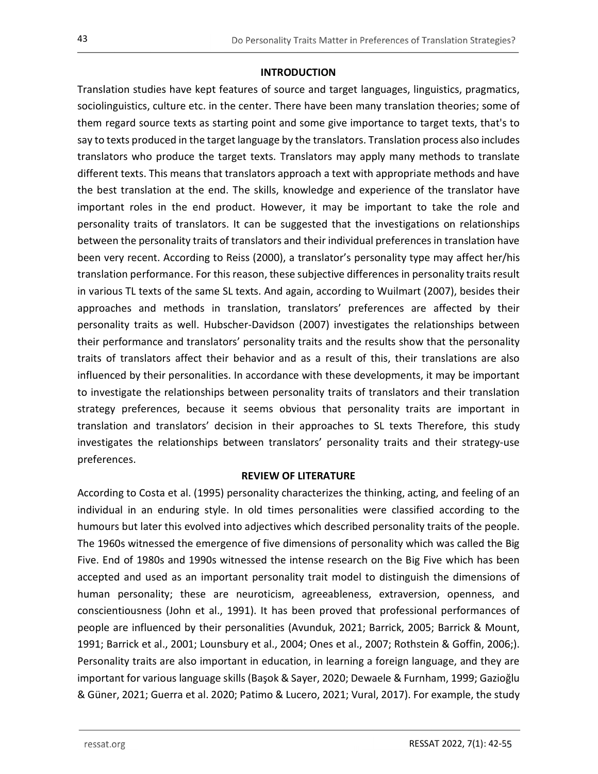# **INTRODUCTION**

Translation studies have kept features of source and target languages, linguistics, pragmatics, sociolinguistics, culture etc. in the center. There have been many translation theories; some of them regard source texts as starting point and some give importance to target texts, that's to say to texts produced in the target language by the translators. Translation process also includes translators who produce the target texts. Translators may apply many methods to translate different texts. This means that translators approach a text with appropriate methods and have the best translation at the end. The skills, knowledge and experience of the translator have important roles in the end product. However, it may be important to take the role and personality traits of translators. It can be suggested that the investigations on relationships between the personality traits of translators and their individual preferences in translation have been very recent. According to Reiss (2000), a translator's personality type may affect her/his translation performance. For this reason, these subjective differences in personality traits result in various TL texts of the same SL texts. And again, according to Wuilmart (2007), besides their approaches and methods in translation, translators' preferences are affected by their personality traits as well. Hubscher-Davidson (2007) investigates the relationships between their performance and translators' personality traits and the results show that the personality traits of translators affect their behavior and as a result of this, their translations are also influenced by their personalities. In accordance with these developments, it may be important to investigate the relationships between personality traits of translators and their translation strategy preferences, because it seems obvious that personality traits are important in translation and translators' decision in their approaches to SL texts Therefore, this study investigates the relationships between translators' personality traits and their strategy-use preferences.

# REVIEW OF LITERATURE

According to Costa et al. (1995) personality characterizes the thinking, acting, and feeling of an individual in an enduring style. In old times personalities were classified according to the humours but later this evolved into adjectives which described personality traits of the people. The 1960s witnessed the emergence of five dimensions of personality which was called the Big Five. End of 1980s and 1990s witnessed the intense research on the Big Five which has been accepted and used as an important personality trait model to distinguish the dimensions of human personality; these are neuroticism, agreeableness, extraversion, openness, and conscientiousness (John et al., 1991). It has been proved that professional performances of people are influenced by their personalities (Avunduk, 2021; Barrick, 2005; Barrick & Mount, 1991; Barrick et al., 2001; Lounsbury et al., 2004; Ones et al., 2007; Rothstein & Goffin, 2006;). Personality traits are also important in education, in learning a foreign language, and they are important for various language skills (Başok & Sayer, 2020; Dewaele & Furnham, 1999; Gazioğlu & Güner, 2021; Guerra et al. 2020; Patimo & Lucero, 2021; Vural, 2017). For example, the study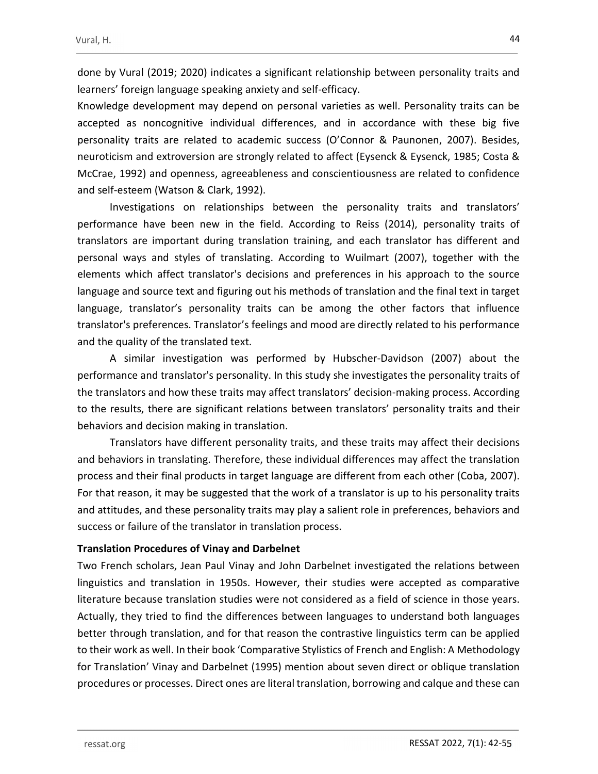done by Vural (2019; 2020) indicates a significant relationship between personality traits and learners' foreign language speaking anxiety and self-efficacy.

Knowledge development may depend on personal varieties as well. Personality traits can be accepted as noncognitive individual differences, and in accordance with these big five personality traits are related to academic success (O'Connor & Paunonen, 2007). Besides, neuroticism and extroversion are strongly related to affect (Eysenck & Eysenck, 1985; Costa & McCrae, 1992) and openness, agreeableness and conscientiousness are related to confidence and self-esteem (Watson & Clark, 1992).

Investigations on relationships between the personality traits and translators' performance have been new in the field. According to Reiss (2014), personality traits of translators are important during translation training, and each translator has different and personal ways and styles of translating. According to Wuilmart (2007), together with the elements which affect translator's decisions and preferences in his approach to the source language and source text and figuring out his methods of translation and the final text in target language, translator's personality traits can be among the other factors that influence translator's preferences. Translator's feelings and mood are directly related to his performance and the quality of the translated text.

A similar investigation was performed by Hubscher-Davidson (2007) about the performance and translator's personality. In this study she investigates the personality traits of the translators and how these traits may affect translators' decision-making process. According to the results, there are significant relations between translators' personality traits and their behaviors and decision making in translation.

Translators have different personality traits, and these traits may affect their decisions and behaviors in translating. Therefore, these individual differences may affect the translation process and their final products in target language are different from each other (Coba, 2007). For that reason, it may be suggested that the work of a translator is up to his personality traits and attitudes, and these personality traits may play a salient role in preferences, behaviors and success or failure of the translator in translation process.

#### Translation Procedures of Vinay and Darbelnet

Two French scholars, Jean Paul Vinay and John Darbelnet investigated the relations between linguistics and translation in 1950s. However, their studies were accepted as comparative literature because translation studies were not considered as a field of science in those years. Actually, they tried to find the differences between languages to understand both languages better through translation, and for that reason the contrastive linguistics term can be applied to their work as well. In their book 'Comparative Stylistics of French and English: A Methodology for Translation' Vinay and Darbelnet (1995) mention about seven direct or oblique translation procedures or processes. Direct ones are literal translation, borrowing and calque and these can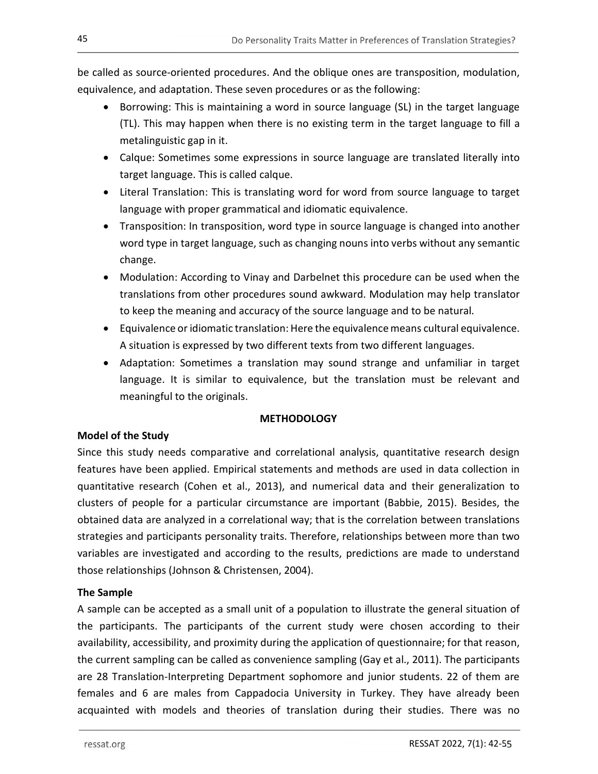be called as source-oriented procedures. And the oblique ones are transposition, modulation, equivalence, and adaptation. These seven procedures or as the following:

- Borrowing: This is maintaining a word in source language (SL) in the target language (TL). This may happen when there is no existing term in the target language to fill a metalinguistic gap in it.
- Calque: Sometimes some expressions in source language are translated literally into target language. This is called calque.
- Literal Translation: This is translating word for word from source language to target language with proper grammatical and idiomatic equivalence.
- Transposition: In transposition, word type in source language is changed into another word type in target language, such as changing nouns into verbs without any semantic change.
- Modulation: According to Vinay and Darbelnet this procedure can be used when the translations from other procedures sound awkward. Modulation may help translator to keep the meaning and accuracy of the source language and to be natural.
- Equivalence or idiomatic translation: Here the equivalence means cultural equivalence. A situation is expressed by two different texts from two different languages.
- Adaptation: Sometimes a translation may sound strange and unfamiliar in target language. It is similar to equivalence, but the translation must be relevant and meaningful to the originals.

# **METHODOLOGY**

# Model of the Study

Since this study needs comparative and correlational analysis, quantitative research design features have been applied. Empirical statements and methods are used in data collection in quantitative research (Cohen et al., 2013), and numerical data and their generalization to clusters of people for a particular circumstance are important (Babbie, 2015). Besides, the obtained data are analyzed in a correlational way; that is the correlation between translations strategies and participants personality traits. Therefore, relationships between more than two variables are investigated and according to the results, predictions are made to understand those relationships (Johnson & Christensen, 2004).

# The Sample

A sample can be accepted as a small unit of a population to illustrate the general situation of the participants. The participants of the current study were chosen according to their availability, accessibility, and proximity during the application of questionnaire; for that reason, the current sampling can be called as convenience sampling (Gay et al., 2011). The participants are 28 Translation-Interpreting Department sophomore and junior students. 22 of them are females and 6 are males from Cappadocia University in Turkey. They have already been acquainted with models and theories of translation during their studies. There was no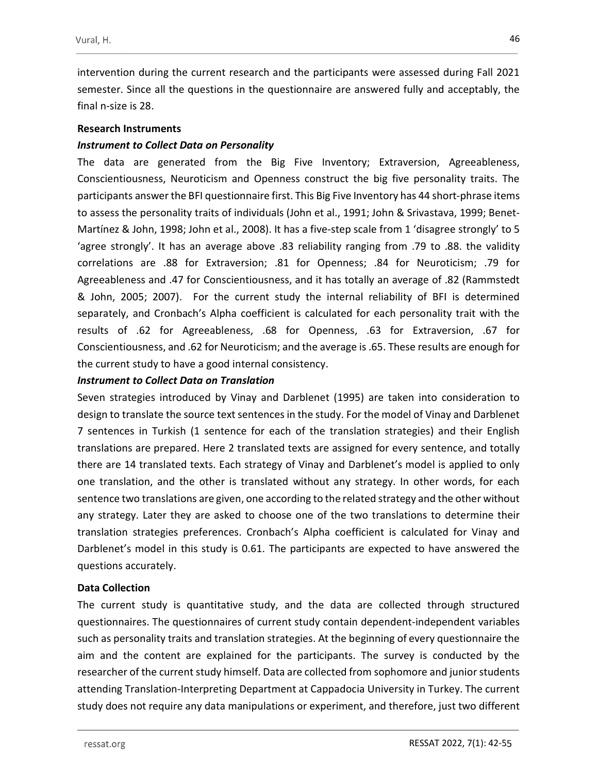intervention during the current research and the participants were assessed during Fall 2021 semester. Since all the questions in the questionnaire are answered fully and acceptably, the final n-size is 28.

### Research Instruments

# Instrument to Collect Data on Personality

The data are generated from the Big Five Inventory; Extraversion, Agreeableness, Conscientiousness, Neuroticism and Openness construct the big five personality traits. The participants answer the BFI questionnaire first. This Big Five Inventory has 44 short-phrase items to assess the personality traits of individuals (John et al., 1991; John & Srivastava, 1999; Benet-Martínez & John, 1998; John et al., 2008). It has a five-step scale from 1 'disagree strongly' to 5 'agree strongly'. It has an average above .83 reliability ranging from .79 to .88. the validity correlations are .88 for Extraversion; .81 for Openness; .84 for Neuroticism; .79 for Agreeableness and .47 for Conscientiousness, and it has totally an average of .82 (Rammstedt & John, 2005; 2007). For the current study the internal reliability of BFI is determined separately, and Cronbach's Alpha coefficient is calculated for each personality trait with the results of .62 for Agreeableness, .68 for Openness, .63 for Extraversion, .67 for Conscientiousness, and .62 for Neuroticism; and the average is .65. These results are enough for the current study to have a good internal consistency.

# Instrument to Collect Data on Translation

Seven strategies introduced by Vinay and Darblenet (1995) are taken into consideration to design to translate the source text sentences in the study. For the model of Vinay and Darblenet 7 sentences in Turkish (1 sentence for each of the translation strategies) and their English translations are prepared. Here 2 translated texts are assigned for every sentence, and totally there are 14 translated texts. Each strategy of Vinay and Darblenet's model is applied to only one translation, and the other is translated without any strategy. In other words, for each sentence two translations are given, one according to the related strategy and the other without any strategy. Later they are asked to choose one of the two translations to determine their translation strategies preferences. Cronbach's Alpha coefficient is calculated for Vinay and Darblenet's model in this study is 0.61. The participants are expected to have answered the questions accurately.

# Data Collection

The current study is quantitative study, and the data are collected through structured questionnaires. The questionnaires of current study contain dependent-independent variables such as personality traits and translation strategies. At the beginning of every questionnaire the aim and the content are explained for the participants. The survey is conducted by the researcher of the current study himself. Data are collected from sophomore and junior students attending Translation-Interpreting Department at Cappadocia University in Turkey. The current study does not require any data manipulations or experiment, and therefore, just two different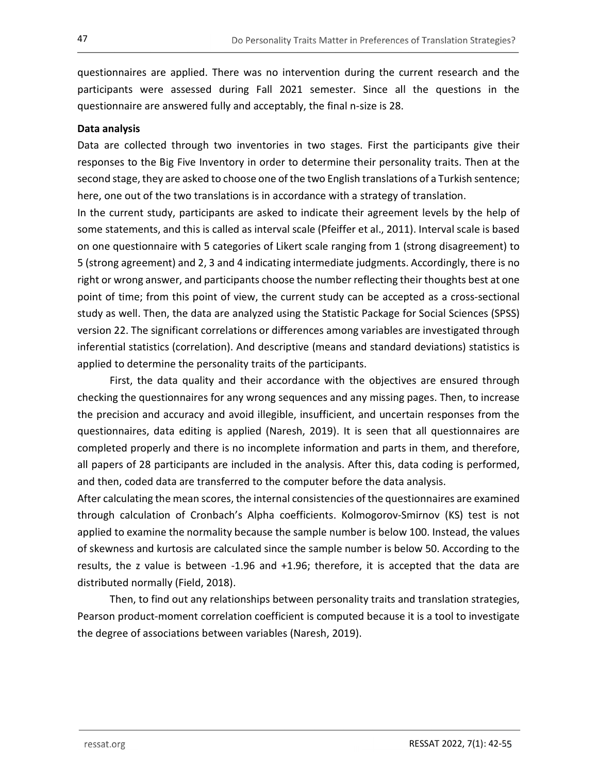questionnaires are applied. There was no intervention during the current research and the participants were assessed during Fall 2021 semester. Since all the questions in the questionnaire are answered fully and acceptably, the final n-size is 28.

### Data analysis

Data are collected through two inventories in two stages. First the participants give their responses to the Big Five Inventory in order to determine their personality traits. Then at the second stage, they are asked to choose one of the two English translations of a Turkish sentence; here, one out of the two translations is in accordance with a strategy of translation.

In the current study, participants are asked to indicate their agreement levels by the help of some statements, and this is called as interval scale (Pfeiffer et al., 2011). Interval scale is based on one questionnaire with 5 categories of Likert scale ranging from 1 (strong disagreement) to 5 (strong agreement) and 2, 3 and 4 indicating intermediate judgments. Accordingly, there is no right or wrong answer, and participants choose the number reflecting their thoughts best at one point of time; from this point of view, the current study can be accepted as a cross-sectional study as well. Then, the data are analyzed using the Statistic Package for Social Sciences (SPSS) version 22. The significant correlations or differences among variables are investigated through inferential statistics (correlation). And descriptive (means and standard deviations) statistics is applied to determine the personality traits of the participants.

First, the data quality and their accordance with the objectives are ensured through checking the questionnaires for any wrong sequences and any missing pages. Then, to increase the precision and accuracy and avoid illegible, insufficient, and uncertain responses from the questionnaires, data editing is applied (Naresh, 2019). It is seen that all questionnaires are completed properly and there is no incomplete information and parts in them, and therefore, all papers of 28 participants are included in the analysis. After this, data coding is performed, and then, coded data are transferred to the computer before the data analysis.

After calculating the mean scores, the internal consistencies of the questionnaires are examined through calculation of Cronbach's Alpha coefficients. Kolmogorov-Smirnov (KS) test is not applied to examine the normality because the sample number is below 100. Instead, the values of skewness and kurtosis are calculated since the sample number is below 50. According to the results, the z value is between -1.96 and +1.96; therefore, it is accepted that the data are distributed normally (Field, 2018).

Then, to find out any relationships between personality traits and translation strategies, Pearson product-moment correlation coefficient is computed because it is a tool to investigate the degree of associations between variables (Naresh, 2019).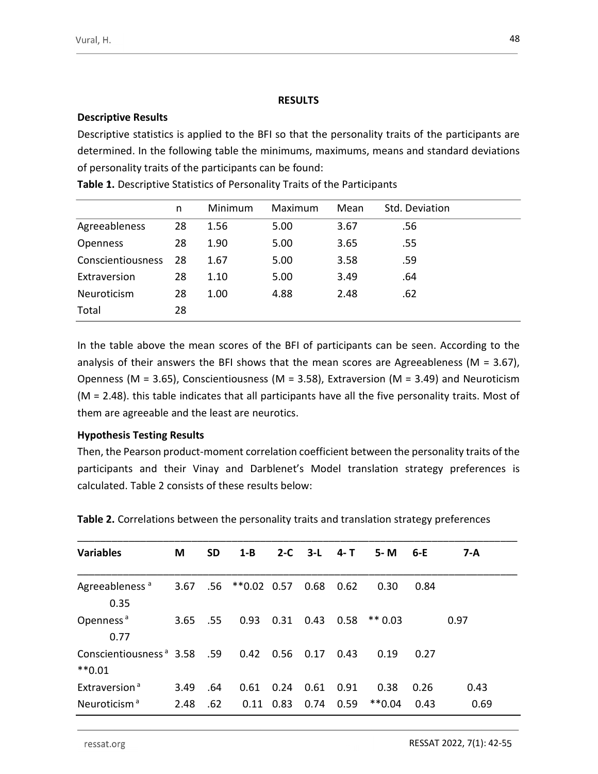### RESULTS

### Descriptive Results

Descriptive statistics is applied to the BFI so that the personality traits of the participants are determined. In the following table the minimums, maximums, means and standard deviations of personality traits of the participants can be found:

|                    | n  | Minimum | Maximum | Mean | Std. Deviation |  |
|--------------------|----|---------|---------|------|----------------|--|
| Agreeableness      | 28 | 1.56    | 5.00    | 3.67 | .56            |  |
| <b>Openness</b>    | 28 | 1.90    | 5.00    | 3.65 | .55            |  |
| Conscientiousness  | 28 | 1.67    | 5.00    | 3.58 | .59            |  |
| Extraversion       | 28 | 1.10    | 5.00    | 3.49 | .64            |  |
| <b>Neuroticism</b> | 28 | 1.00    | 4.88    | 2.48 | .62            |  |
| Total              | 28 |         |         |      |                |  |

Table 1. Descriptive Statistics of Personality Traits of the Participants

In the table above the mean scores of the BFI of participants can be seen. According to the analysis of their answers the BFI shows that the mean scores are Agreeableness ( $M = 3.67$ ), Openness (M = 3.65), Conscientiousness (M = 3.58), Extraversion (M = 3.49) and Neuroticism (M = 2.48). this table indicates that all participants have all the five personality traits. Most of them are agreeable and the least are neurotics.

# Hypothesis Testing Results

Then, the Pearson product-moment correlation coefficient between the personality traits of the participants and their Vinay and Darblenet's Model translation strategy preferences is calculated. Table 2 consists of these results below:

| <b>Variables</b>                                      | M            | <b>SD</b>  | $1 - B$         |                           | 2-C $3-L$ 4-T |              | 5- M             | $6-E$        | 7-A          |
|-------------------------------------------------------|--------------|------------|-----------------|---------------------------|---------------|--------------|------------------|--------------|--------------|
| Agreeableness <sup>a</sup><br>0.35                    | 3.67         |            | .56 **0.02 0.57 |                           | 0.68          | 0.62         | 0.30             | 0.84         |              |
| Openness <sup>a</sup><br>0.77                         | 3.65         | .55        | 0.93            | 0.31                      | 0.43          | 0.58         | $** 0.03$        |              | 0.97         |
| Conscientiousness <sup>a</sup> 3.58<br>$**0.01$       |              | .59        | 0.42            | 0.56                      | 0.17          | 0.43         | 0.19             | 0.27         |              |
| Extraversion <sup>a</sup><br>Neuroticism <sup>a</sup> | 3.49<br>2.48 | .64<br>.62 | 0.61            | 0.24<br>$0.11 \quad 0.83$ | 0.61<br>0.74  | 0.91<br>0.59 | 0.38<br>$**0.04$ | 0.26<br>0.43 | 0.43<br>0.69 |

Table 2. Correlations between the personality traits and translation strategy preferences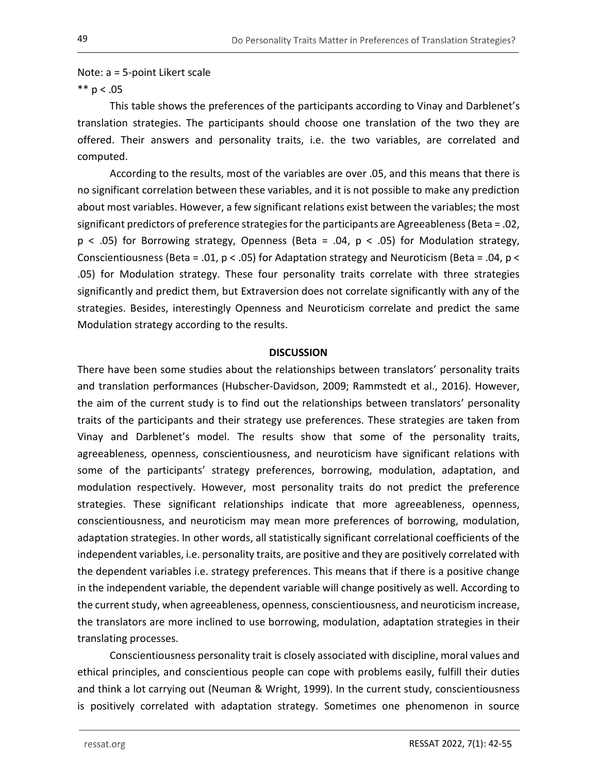### Note: a = 5-point Likert scale

#### \*\*  $p < .05$

This table shows the preferences of the participants according to Vinay and Darblenet's translation strategies. The participants should choose one translation of the two they are offered. Their answers and personality traits, i.e. the two variables, are correlated and computed.

According to the results, most of the variables are over .05, and this means that there is no significant correlation between these variables, and it is not possible to make any prediction about most variables. However, a few significant relations exist between the variables; the most significant predictors of preference strategies for the participants are Agreeableness (Beta = .02,  $p < .05$ ) for Borrowing strategy, Openness (Beta = .04,  $p < .05$ ) for Modulation strategy, Conscientiousness (Beta = .01,  $p < .05$ ) for Adaptation strategy and Neuroticism (Beta = .04,  $p <$ .05) for Modulation strategy. These four personality traits correlate with three strategies significantly and predict them, but Extraversion does not correlate significantly with any of the strategies. Besides, interestingly Openness and Neuroticism correlate and predict the same Modulation strategy according to the results.

#### **DISCUSSION**

There have been some studies about the relationships between translators' personality traits and translation performances (Hubscher-Davidson, 2009; Rammstedt et al., 2016). However, the aim of the current study is to find out the relationships between translators' personality traits of the participants and their strategy use preferences. These strategies are taken from Vinay and Darblenet's model. The results show that some of the personality traits, agreeableness, openness, conscientiousness, and neuroticism have significant relations with some of the participants' strategy preferences, borrowing, modulation, adaptation, and modulation respectively. However, most personality traits do not predict the preference strategies. These significant relationships indicate that more agreeableness, openness, conscientiousness, and neuroticism may mean more preferences of borrowing, modulation, adaptation strategies. In other words, all statistically significant correlational coefficients of the independent variables, i.e. personality traits, are positive and they are positively correlated with the dependent variables i.e. strategy preferences. This means that if there is a positive change in the independent variable, the dependent variable will change positively as well. According to the current study, when agreeableness, openness, conscientiousness, and neuroticism increase, the translators are more inclined to use borrowing, modulation, adaptation strategies in their translating processes.

Conscientiousness personality trait is closely associated with discipline, moral values and ethical principles, and conscientious people can cope with problems easily, fulfill their duties and think a lot carrying out (Neuman & Wright, 1999). In the current study, conscientiousness is positively correlated with adaptation strategy. Sometimes one phenomenon in source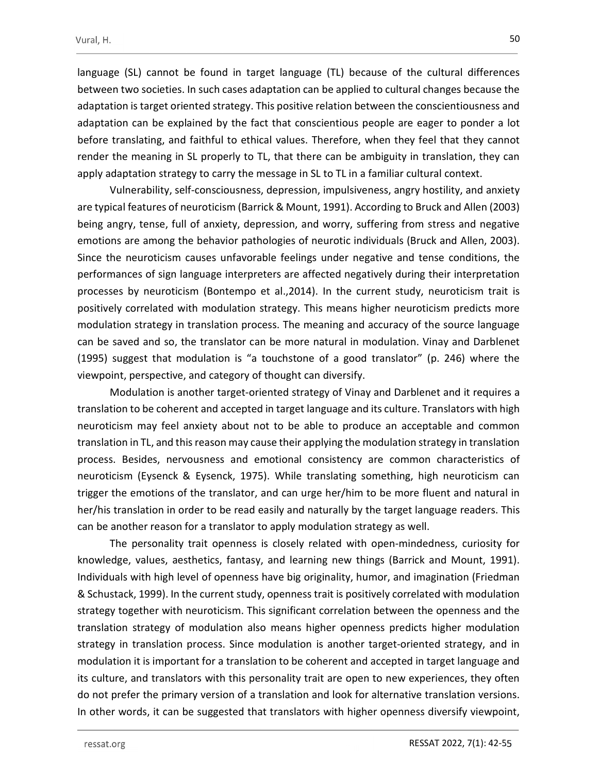language (SL) cannot be found in target language (TL) because of the cultural differences between two societies. In such cases adaptation can be applied to cultural changes because the adaptation is target oriented strategy. This positive relation between the conscientiousness and adaptation can be explained by the fact that conscientious people are eager to ponder a lot before translating, and faithful to ethical values. Therefore, when they feel that they cannot render the meaning in SL properly to TL, that there can be ambiguity in translation, they can apply adaptation strategy to carry the message in SL to TL in a familiar cultural context.

Vulnerability, self-consciousness, depression, impulsiveness, angry hostility, and anxiety are typical features of neuroticism (Barrick & Mount, 1991). According to Bruck and Allen (2003) being angry, tense, full of anxiety, depression, and worry, suffering from stress and negative emotions are among the behavior pathologies of neurotic individuals (Bruck and Allen, 2003). Since the neuroticism causes unfavorable feelings under negative and tense conditions, the performances of sign language interpreters are affected negatively during their interpretation processes by neuroticism (Bontempo et al.,2014). In the current study, neuroticism trait is positively correlated with modulation strategy. This means higher neuroticism predicts more modulation strategy in translation process. The meaning and accuracy of the source language can be saved and so, the translator can be more natural in modulation. Vinay and Darblenet (1995) suggest that modulation is "a touchstone of a good translator" (p. 246) where the viewpoint, perspective, and category of thought can diversify.

Modulation is another target-oriented strategy of Vinay and Darblenet and it requires a translation to be coherent and accepted in target language and its culture. Translators with high neuroticism may feel anxiety about not to be able to produce an acceptable and common translation in TL, and this reason may cause their applying the modulation strategy in translation process. Besides, nervousness and emotional consistency are common characteristics of neuroticism (Eysenck & Eysenck, 1975). While translating something, high neuroticism can trigger the emotions of the translator, and can urge her/him to be more fluent and natural in her/his translation in order to be read easily and naturally by the target language readers. This can be another reason for a translator to apply modulation strategy as well.

The personality trait openness is closely related with open-mindedness, curiosity for knowledge, values, aesthetics, fantasy, and learning new things (Barrick and Mount, 1991). Individuals with high level of openness have big originality, humor, and imagination (Friedman & Schustack, 1999). In the current study, openness trait is positively correlated with modulation strategy together with neuroticism. This significant correlation between the openness and the translation strategy of modulation also means higher openness predicts higher modulation strategy in translation process. Since modulation is another target-oriented strategy, and in modulation it is important for a translation to be coherent and accepted in target language and its culture, and translators with this personality trait are open to new experiences, they often do not prefer the primary version of a translation and look for alternative translation versions. In other words, it can be suggested that translators with higher openness diversify viewpoint,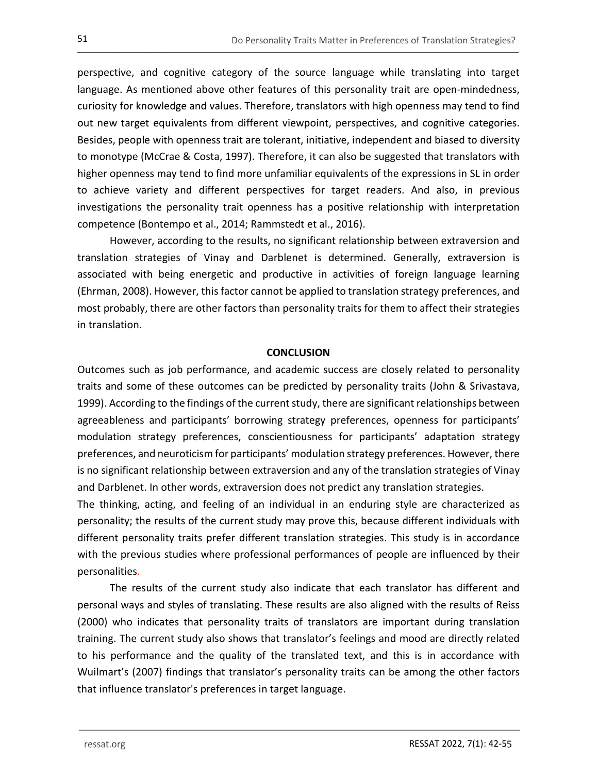perspective, and cognitive category of the source language while translating into target language. As mentioned above other features of this personality trait are open-mindedness, curiosity for knowledge and values. Therefore, translators with high openness may tend to find out new target equivalents from different viewpoint, perspectives, and cognitive categories. Besides, people with openness trait are tolerant, initiative, independent and biased to diversity to monotype (McCrae & Costa, 1997). Therefore, it can also be suggested that translators with higher openness may tend to find more unfamiliar equivalents of the expressions in SL in order to achieve variety and different perspectives for target readers. And also, in previous investigations the personality trait openness has a positive relationship with interpretation competence (Bontempo et al., 2014; Rammstedt et al., 2016).

However, according to the results, no significant relationship between extraversion and translation strategies of Vinay and Darblenet is determined. Generally, extraversion is associated with being energetic and productive in activities of foreign language learning (Ehrman, 2008). However, this factor cannot be applied to translation strategy preferences, and most probably, there are other factors than personality traits for them to affect their strategies in translation.

#### **CONCLUSION**

Outcomes such as job performance, and academic success are closely related to personality traits and some of these outcomes can be predicted by personality traits (John & Srivastava, 1999). According to the findings of the current study, there are significant relationships between agreeableness and participants' borrowing strategy preferences, openness for participants' modulation strategy preferences, conscientiousness for participants' adaptation strategy preferences, and neuroticism for participants' modulation strategy preferences. However, there is no significant relationship between extraversion and any of the translation strategies of Vinay and Darblenet. In other words, extraversion does not predict any translation strategies.

The thinking, acting, and feeling of an individual in an enduring style are characterized as personality; the results of the current study may prove this, because different individuals with different personality traits prefer different translation strategies. This study is in accordance with the previous studies where professional performances of people are influenced by their personalities.

The results of the current study also indicate that each translator has different and personal ways and styles of translating. These results are also aligned with the results of Reiss (2000) who indicates that personality traits of translators are important during translation training. The current study also shows that translator's feelings and mood are directly related to his performance and the quality of the translated text, and this is in accordance with Wuilmart's (2007) findings that translator's personality traits can be among the other factors that influence translator's preferences in target language.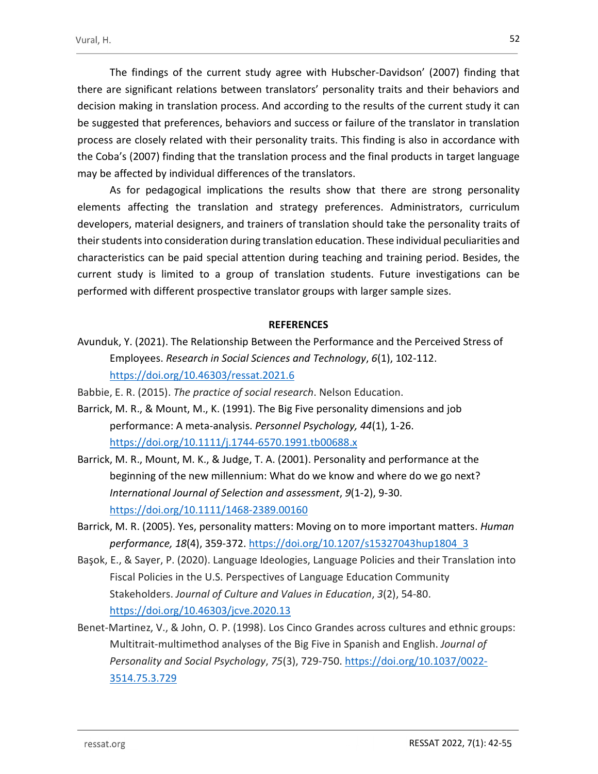The findings of the current study agree with Hubscher-Davidson' (2007) finding that there are significant relations between translators' personality traits and their behaviors and decision making in translation process. And according to the results of the current study it can be suggested that preferences, behaviors and success or failure of the translator in translation process are closely related with their personality traits. This finding is also in accordance with the Coba's (2007) finding that the translation process and the final products in target language may be affected by individual differences of the translators.

As for pedagogical implications the results show that there are strong personality elements affecting the translation and strategy preferences. Administrators, curriculum developers, material designers, and trainers of translation should take the personality traits of their students into consideration during translation education. These individual peculiarities and characteristics can be paid special attention during teaching and training period. Besides, the current study is limited to a group of translation students. Future investigations can be performed with different prospective translator groups with larger sample sizes.

#### **REFERENCES**

Avunduk, Y. (2021). The Relationship Between the Performance and the Perceived Stress of Employees. Research in Social Sciences and Technology, 6(1), 102-112.

https://doi.org/10.46303/ressat.2021.6<br>Babbie, E. R. (2015). The practice of social research. Nelson Education.

- Barrick, M. R., & Mount, M., K. (1991). The Big Five personality dimensions and job performance: A meta-analysis. Personnel Psychology, 44(1), 1-26.
- https://doi.org/10.1111/j.1744-6570.1991.tb00688.x Barrick, M. R., Mount, M. K., & Judge, T. A. (2001). Personality and performance at the beginning of the new millennium: What do we know and where do we go next? International Journal of Selection and assessment, 9(1-2), 9-30. https://doi.org/10.1111/1468-2389.00160
- Barrick, M. R. (2005). Yes, personality matters: Moving on to more important matters. Human performance, 18(4), 359-372. https://doi.org/10.1207/s15327043hup1804\_3
- Başok, E., & Sayer, P. (2020). Language Ideologies, Language Policies and their Translation into Fiscal Policies in the U.S. Perspectives of Language Education Community Stakeholders. Journal of Culture and Values in Education, 3(2), 54-80. https://doi.org/10.46303/jcve.2020.13
- Benet-Martinez, V., & John, O. P. (1998). Los Cinco Grandes across cultures and ethnic groups: Multitrait-multimethod analyses of the Big Five in Spanish and English. Journal of Personality and Social Psychology, 75(3), 729-750. https://doi.org/10.1037/0022- 3514.75.3.729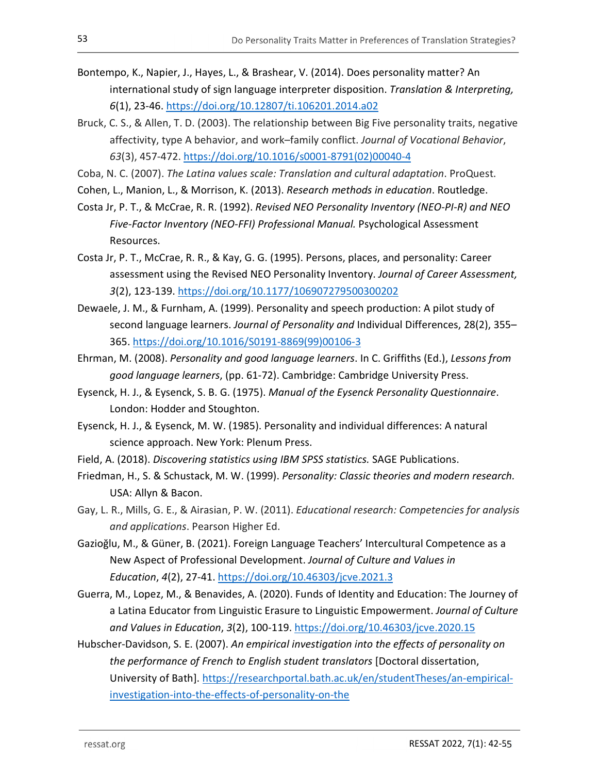- Bontempo, K., Napier, J., Hayes, L., & Brashear, V. (2014). Does personality matter? An international study of sign language interpreter disposition. Translation & Interpreting, <sup>6</sup>(1), 23-46. https://doi.org/10.12807/ti.106201.2014.a02 Bruck, C. S., & Allen, T. D. (2003). The relationship between Big Five personality traits, negative
- affectivity, type A behavior, and work–family conflict. Journal of Vocational Behavior,
- 63(3), 457-472. https://doi.org/10.1016/s0001-8791(02)00040-4<br>Coba, N. C. (2007). The Latina values scale: Translation and cultural adaptation. ProQuest.
- Cohen, L., Manion, L., & Morrison, K. (2013). Research methods in education. Routledge.
- Costa Jr, P. T., & McCrae, R. R. (1992). Revised NEO Personality Inventory (NEO-PI-R) and NEO Five-Factor Inventory (NEO-FFI) Professional Manual. Psychological Assessment Resources.
- Costa Jr, P. T., McCrae, R. R., & Kay, G. G. (1995). Persons, places, and personality: Career assessment using the Revised NEO Personality Inventory. Journal of Career Assessment, <sup>3</sup>(2), 123-139. https://doi.org/10.1177/106907279500300202 Dewaele, J. M., & Furnham, A. (1999). Personality and speech production: A pilot study of
- second language learners. Journal of Personality and Individual Differences, 28(2), 355– 365. https://doi.org/10.1016/S0191-8869(99)00106-3
- Ehrman, M. (2008). Personality and good language learners. In C. Griffiths (Ed.), Lessons from good language learners, (pp. 61-72). Cambridge: Cambridge University Press.
- Eysenck, H. J., & Eysenck, S. B. G. (1975). Manual of the Eysenck Personality Questionnaire. London: Hodder and Stoughton.
- Eysenck, H. J., & Eysenck, M. W. (1985). Personality and individual differences: A natural science approach. New York: Plenum Press.
- Field, A. (2018). Discovering statistics using IBM SPSS statistics. SAGE Publications.
- Friedman, H., S. & Schustack, M. W. (1999). Personality: Classic theories and modern research. USA: Allyn & Bacon.
- Gay, L. R., Mills, G. E., & Airasian, P. W. (2011). Educational research: Competencies for analysis and applications. Pearson Higher Ed.
- Gazioğlu, M., & Güner, B. (2021). Foreign Language Teachers' Intercultural Competence as a New Aspect of Professional Development. Journal of Culture and Values in Education, 4(2), 27-41. https://doi.org/10.46303/jcve.2021.3
- Guerra, M., Lopez, M., & Benavides, A. (2020). Funds of Identity and Education: The Journey of a Latina Educator from Linguistic Erasure to Linguistic Empowerment. Journal of Culture and Values in Education, 3(2), 100-119. https://doi.org/10.46303/jcve.2020.15
- Hubscher-Davidson, S. E. (2007). An empirical investigation into the effects of personality on the performance of French to English student translators [Doctoral dissertation, University of Bath]. https://researchportal.bath.ac.uk/en/studentTheses/an-empiricalinvestigation-into-the-effects-of-personality-on-the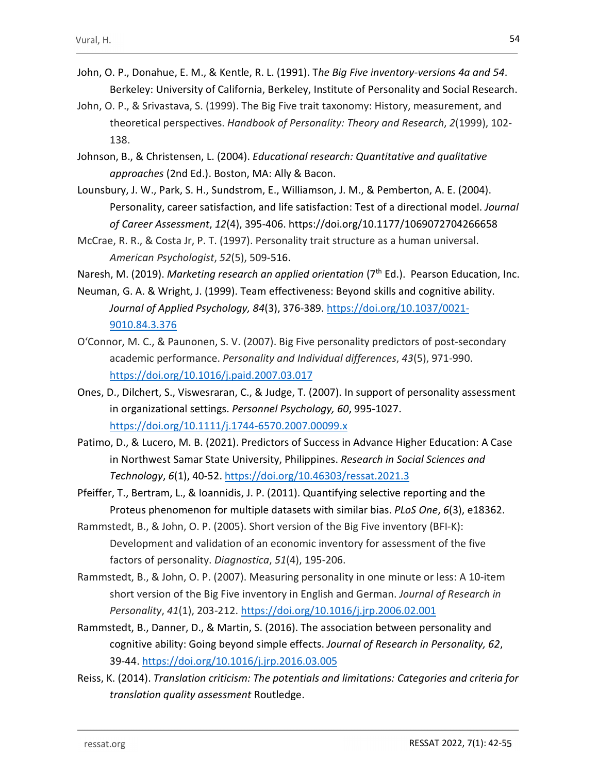- John, O. P., Donahue, E. M., & Kentle, R. L. (1991). The Big Five inventory-versions 4a and 54.<br>Berkeley: University of California, Berkeley, Institute of Personality and Social Research.
- John, O. P., & Srivastava, S. (1999). The Big Five trait taxonomy: History, measurement, and theoretical perspectives. Handbook of Personality: Theory and Research, 2(1999), 102- 138.
- Johnson, B., & Christensen, L. (2004). Educational research: Quantitative and qualitative approaches (2nd Ed.). Boston, MA: Ally & Bacon.
- Lounsbury, J. W., Park, S. H., Sundstrom, E., Williamson, J. M., & Pemberton, A. E. (2004). Personality, career satisfaction, and life satisfaction: Test of a directional model. Journal of Career Assessment, 12(4), 395-406. https://doi.org/10.1177/1069072704266658
- McCrae, R. R., & Costa Jr, P. T. (1997). Personality trait structure as a human universal. American Psychologist, 52(5), 509-516.
- Naresh, M. (2019). Marketing research an applied orientation ( $7<sup>th</sup>$  Ed.). Pearson Education, Inc.
- Neuman, G. A. & Wright, J. (1999). Team effectiveness: Beyond skills and cognitive ability. Journal of Applied Psychology, 84(3), 376-389. https://doi.org/10.1037/0021-
- 9010.84.3.376<br>O'Connor, M. C., & Paunonen, S. V. (2007). Big Five personality predictors of post-secondary academic performance. Personality and Individual differences, 43(5), 971-990. https://doi.org/10.1016/j.paid.2007.03.017<br>Ones, D., Dilchert, S., Viswesraran, C., & Judge, T. (2007). In support of personality assessment
- in organizational settings. Personnel Psychology, 60, 995-1027.
- https://doi.org/10.1111/j.1744-6570.2007.00099.x Patimo, D., & Lucero, M. B. (2021). Predictors of Success in Advance Higher Education: A Case in Northwest Samar State University, Philippines. Research in Social Sciences and Technology, 6(1), 40-52. https://doi.org/10.46303/ressat.2021.3
- Pfeiffer, T., Bertram, L., & Ioannidis, J. P. (2011). Quantifying selective reporting and the Proteus phenomenon for multiple datasets with similar bias. PLoS One, 6(3), e18362.
- Rammstedt, B., & John, O. P. (2005). Short version of the Big Five inventory (BFI-K): Development and validation of an economic inventory for assessment of the five factors of personality. Diagnostica, 51(4), 195-206.
- Rammstedt, B., & John, O. P. (2007). Measuring personality in one minute or less: A 10-item short version of the Big Five inventory in English and German. Journal of Research in Personality, 41(1), 203-212. https://doi.org/10.1016/j.jrp.2006.02.001<br>Rammstedt, B., Danner, D., & Martin, S. (2016). The association between personality and
- cognitive ability: Going beyond simple effects. Journal of Research in Personality, 62,<br>39-44. https://doi.org/10.1016/j.jrp.2016.03.005<br>Reiss, K. (2014). Translation criticism: The potentials and limitations: Categories a
- translation quality assessment Routledge.